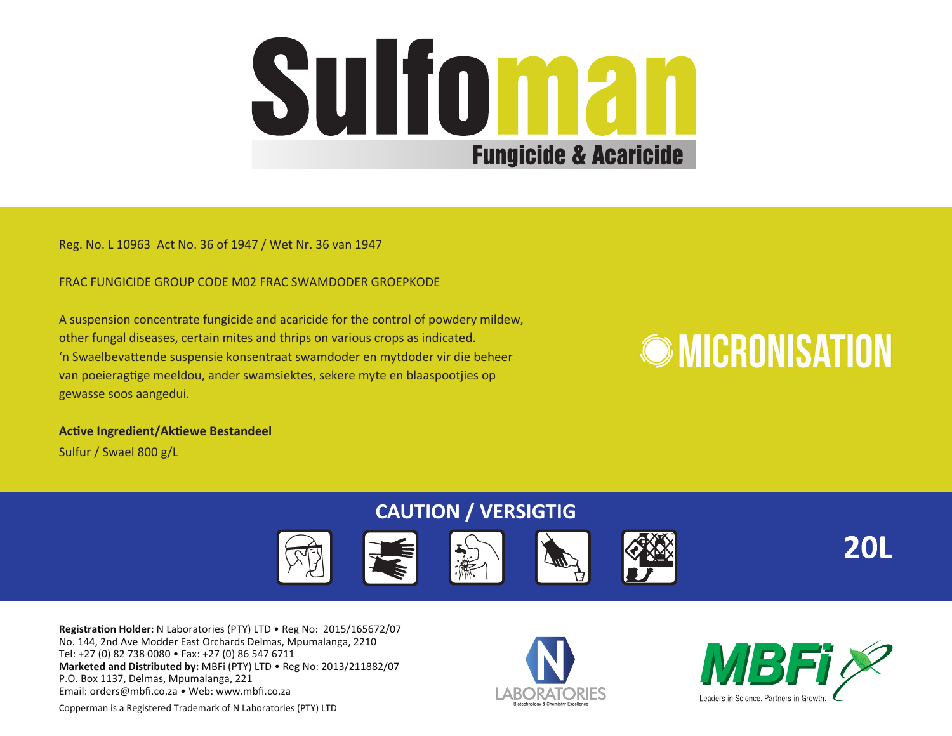

Reg. No. L 10963 Act No. 36 of 1947 / Wet Nr. 36 van 1947

FRAC FUNGICIDE GROUP CODE M02 FRAC SWAMDODER GROEPKODE

A suspension concentrate fungicide and acaricide for the control of powdery mildew, other fungal diseases, certain mites and thrips on various crops as indicated. 'n Swaelbevattende suspensie konsentraat swamdoder en mytdoder vir die beheer van poeieragtige meeldou, ander swamsiektes, sekere myte en blaaspootjies op gewasse soos aangedui.

# **OMICRONISATION**

**Active Ingredient/Aktiewe Bestandeel** Sulfur / Swael 800 g/L

# **CAUTION / VERSIGTIG**



**Registration Holder:** N Laboratories (PTY) LTD • Reg No: 2015/165672/07 No. 144, 2nd Ave Modder East Orchards Delmas, Mpumalanga, 2210 Tel: +27 (0) 82 738 0080 • Fax: +27 (0) 86 547 6711 **Marketed and Distributed by:** MBFi (PTY) LTD • Reg No: 2013/211882/07 P.O. Box 1137, Delmas, Mpumalanga, 221 Email: orders@mbfi.co.za • Web: www.mbfi.co.za





**20L** 

Copperman is a Registered Trademark of N Laboratories (PTY) LTD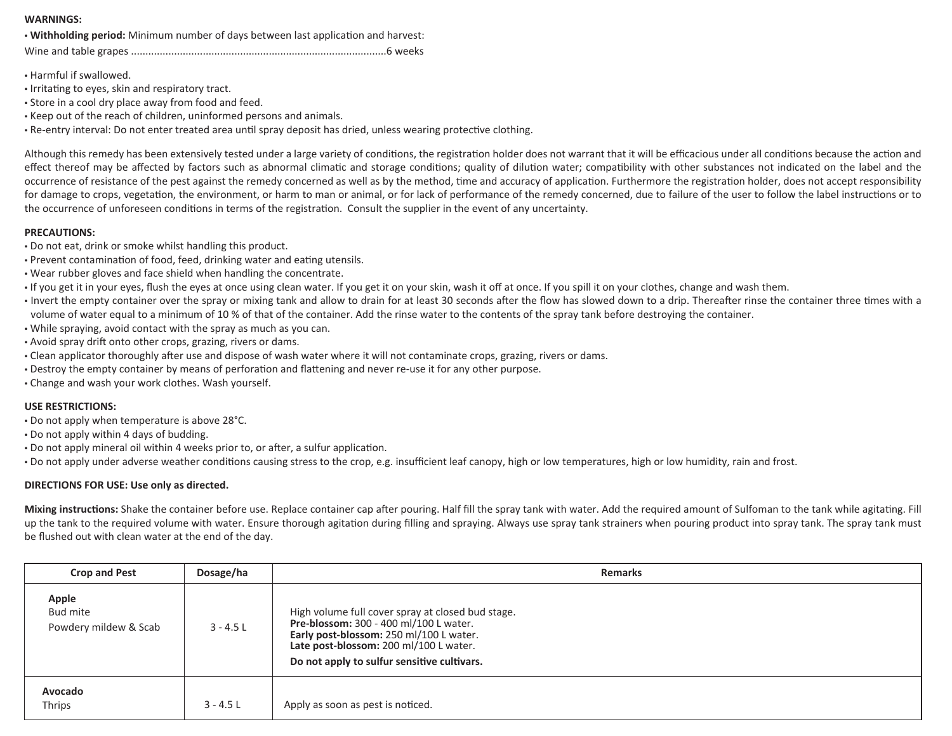## **WARNINGS:**

• **Withholding period:** Minimum number of days between last application and harvest:

Wine and table grapes .........................................................................................6 weeks

• Harmful if swallowed.

- Irritating to eyes, skin and respiratory tract.
- Store in a cool dry place away from food and feed.
- Keep out of the reach of children, uninformed persons and animals.

• Re-entry interval: Do not enter treated area until spray deposit has dried, unless wearing protective clothing.

Although this remedy has been extensively tested under a large variety of conditions, the registration holder does not warrant that it will be efficacious under all conditions because the action and effect thereof may be affected by factors such as abnormal climatic and storage conditions; quality of dilution water; compatibility with other substances not indicated on the label and the occurrence of resistance of the pest against the remedy concerned as well as by the method, time and accuracy of application. Furthermore the registration holder, does not accept responsibility for damage to crops, vegetation, the environment, or harm to man or animal, or for lack of performance of the remedy concerned, due to failure of the user to follow the label instructions or to the occurrence of unforeseen conditions in terms of the registration. Consult the supplier in the event of any uncertainty.

## **PRECAUTIONS:**

- Do not eat, drink or smoke whilst handling this product.
- Prevent contamination of food, feed, drinking water and eating utensils.
- Wear rubber gloves and face shield when handling the concentrate.
- If you get it in your eyes, flush the eyes at once using clean water. If you get it on your skin, wash it off at once. If you spill it on your clothes, change and wash them.
- Invert the empty container over the spray or mixing tank and allow to drain for at least 30 seconds after the flow has slowed down to a drip. Thereafter rinse the container three times with a volume of water equal to a minimum of 10 % of that of the container. Add the rinse water to the contents of the spray tank before destroying the container.
- While spraying, avoid contact with the spray as much as you can.
- Avoid spray drift onto other crops, grazing, rivers or dams.
- Clean applicator thoroughly after use and dispose of wash water where it will not contaminate crops, grazing, rivers or dams.
- Destroy the empty container by means of perforation and flattening and never re-use it for any other purpose.
- Change and wash your work clothes. Wash yourself.

# **USE RESTRICTIONS:**

- Do not apply when temperature is above 28°C.
- Do not apply within 4 days of budding.
- Do not apply mineral oil within 4 weeks prior to, or after, a sulfur application.
- Do not apply under adverse weather conditions causing stress to the crop, e.g. insufficient leaf canopy, high or low temperatures, high or low humidity, rain and frost.

# **DIRECTIONS FOR USE: Use only as directed.**

**Mixing instructions:** Shake the container before use. Replace container cap after pouring. Half fill the spray tank with water. Add the required amount of Sulfoman to the tank while agitating. Fill up the tank to the required volume with water. Ensure thorough agitation during filling and spraying. Always use spray tank strainers when pouring product into spray tank. The spray tank must be flushed out with clean water at the end of the day.

| <b>Crop and Pest</b>                       | Dosage/ha   | <b>Remarks</b>                                                                                                                                                                                                                  |
|--------------------------------------------|-------------|---------------------------------------------------------------------------------------------------------------------------------------------------------------------------------------------------------------------------------|
| Apple<br>Bud mite<br>Powdery mildew & Scab | $3 - 4.5$ L | High volume full cover spray at closed bud stage.<br>Pre-blossom: 300 - 400 ml/100 L water.<br>Early post-blossom: 250 ml/100 L water.<br>Late post-blossom: 200 ml/100 L water.<br>Do not apply to sulfur sensitive cultivars. |
| Avocado<br>Thrips                          | $3 - 4.5$ L | Apply as soon as pest is noticed.                                                                                                                                                                                               |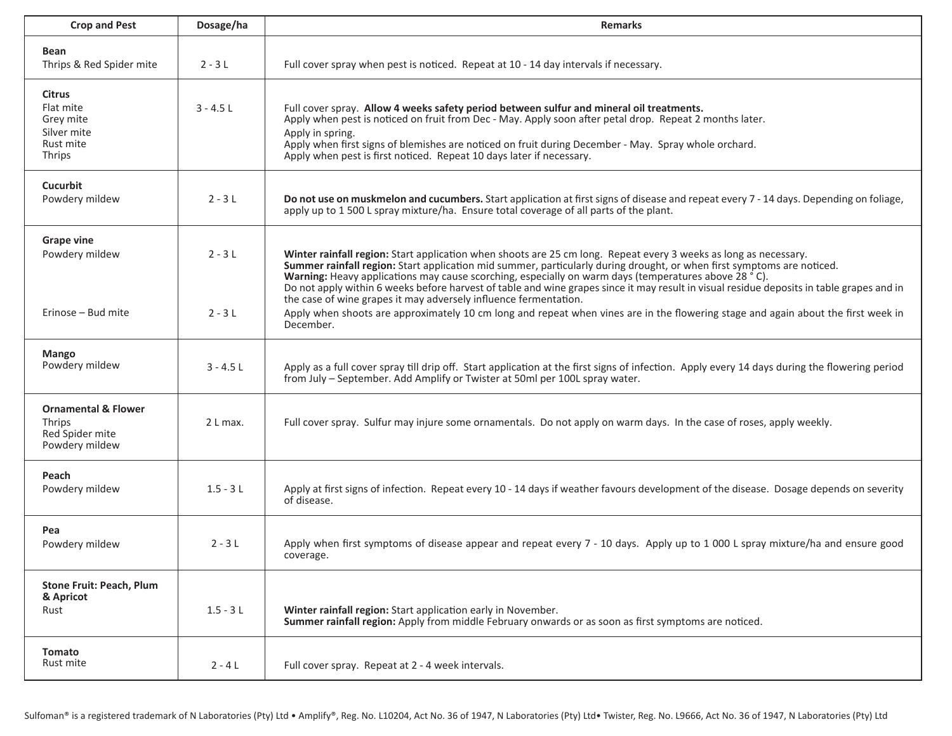| <b>Crop and Pest</b>                                                          | Dosage/ha            | <b>Remarks</b>                                                                                                                                                                                                                                                                                                                                                                                                                                                                                                                                                                                                                                                                                                        |
|-------------------------------------------------------------------------------|----------------------|-----------------------------------------------------------------------------------------------------------------------------------------------------------------------------------------------------------------------------------------------------------------------------------------------------------------------------------------------------------------------------------------------------------------------------------------------------------------------------------------------------------------------------------------------------------------------------------------------------------------------------------------------------------------------------------------------------------------------|
| Bean<br>Thrips & Red Spider mite                                              | $2 - 3L$             | Full cover spray when pest is noticed. Repeat at 10 - 14 day intervals if necessary.                                                                                                                                                                                                                                                                                                                                                                                                                                                                                                                                                                                                                                  |
| <b>Citrus</b><br>Flat mite<br>Grev mite<br>Silver mite<br>Rust mite<br>Thrips | $3 - 4.51$           | Full cover spray. Allow 4 weeks safety period between sulfur and mineral oil treatments.<br>Apply when pest is noticed on fruit from Dec - May. Apply soon after petal drop. Repeat 2 months later.<br>Apply in spring.<br>Apply when first signs of blemishes are noticed on fruit during December - May. Spray whole orchard.<br>Apply when pest is first noticed. Repeat 10 days later if necessary.                                                                                                                                                                                                                                                                                                               |
| Cucurbit<br>Powdery mildew                                                    | $2 - 31$             | Do not use on muskmelon and cucumbers. Start application at first signs of disease and repeat every 7 - 14 days. Depending on foliage,<br>apply up to 1 500 L spray mixture/ha. Ensure total coverage of all parts of the plant.                                                                                                                                                                                                                                                                                                                                                                                                                                                                                      |
| Grape vine<br>Powdery mildew<br>Erinose - Bud mite                            | $2 - 31$<br>$2 - 3L$ | Winter rainfall region: Start application when shoots are 25 cm long. Repeat every 3 weeks as long as necessary.<br>Summer rainfall region: Start application mid summer, particularly during drought, or when first symptoms are noticed.<br>Warning: Heavy applications may cause scorching, especially on warm days (temperatures above 28 °C).<br>Do not apply within 6 weeks before harvest of table and wine grapes since it may result in visual residue deposits in table grapes and in<br>the case of wine grapes it may adversely influence fermentation.<br>Apply when shoots are approximately 10 cm long and repeat when vines are in the flowering stage and again about the first week in<br>December. |
| Mango<br>Powdery mildew                                                       | $3 - 4.5$ L          | Apply as a full cover spray till drip off. Start application at the first signs of infection. Apply every 14 days during the flowering period<br>from July - September. Add Amplify or Twister at 50ml per 100L spray water.                                                                                                                                                                                                                                                                                                                                                                                                                                                                                          |
| <b>Ornamental &amp; Flower</b><br>Thrips<br>Red Spider mite<br>Powdery mildew | 2 L max.             | Full cover spray. Sulfur may injure some ornamentals. Do not apply on warm days. In the case of roses, apply weekly.                                                                                                                                                                                                                                                                                                                                                                                                                                                                                                                                                                                                  |
| Peach<br>Powdery mildew                                                       | $1.5 - 31$           | Apply at first signs of infection. Repeat every 10 - 14 days if weather favours development of the disease. Dosage depends on severity<br>of disease.                                                                                                                                                                                                                                                                                                                                                                                                                                                                                                                                                                 |
| Pea<br>Powdery mildew                                                         | $2 - 3L$             | Apply when first symptoms of disease appear and repeat every 7 - 10 days. Apply up to 1 000 L spray mixture/ha and ensure good<br>coverage.                                                                                                                                                                                                                                                                                                                                                                                                                                                                                                                                                                           |
| Stone Fruit: Peach, Plum<br>& Apricot<br>Rust                                 | $1.5 - 3L$           | Winter rainfall region: Start application early in November.<br>Summer rainfall region: Apply from middle February onwards or as soon as first symptoms are noticed.                                                                                                                                                                                                                                                                                                                                                                                                                                                                                                                                                  |
| Tomato<br>Rust mite                                                           | $2 - 4$ L            | Full cover spray. Repeat at 2 - 4 week intervals.                                                                                                                                                                                                                                                                                                                                                                                                                                                                                                                                                                                                                                                                     |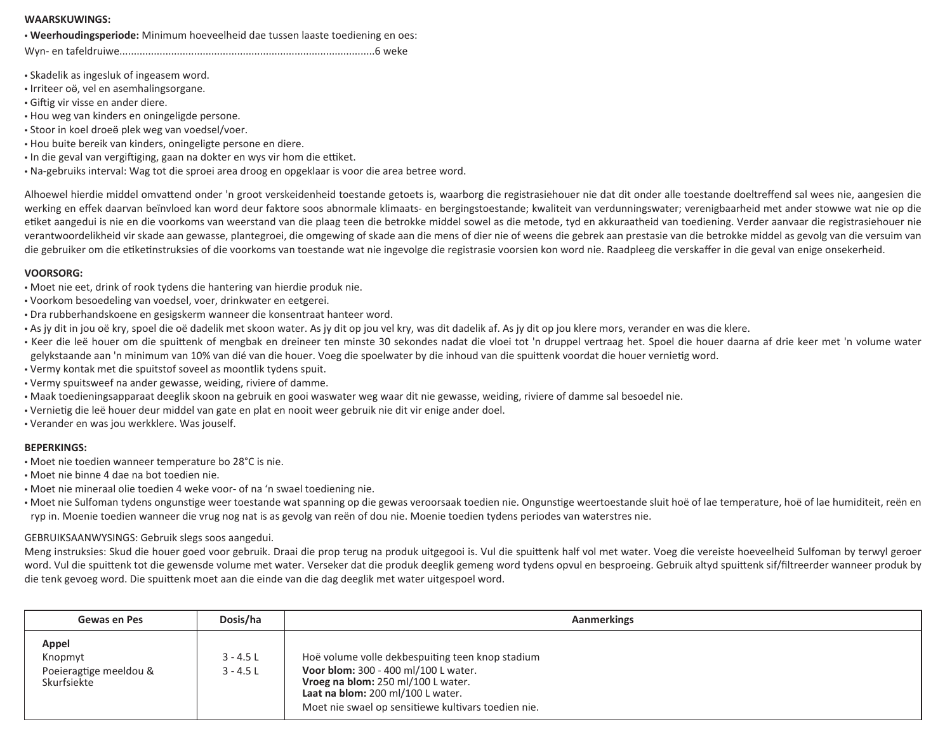#### **WAARSKUWINGS:**

• **Weerhoudingsperiode:** Minimum hoeveelheid dae tussen laaste toediening en oes:

Wyn- en tafeldruiwe.........................................................................................6 weke

- Skadelik as ingesluk of ingeasem word.
- Irriteer oӫ, vel en asemhalingsorgane.
- Giftig vir visse en ander diere.
- Hou weg van kinders en oningeligde persone.
- Stoor in koel droeӫ plek weg van voedsel/voer.
- Hou buite bereik van kinders, oningeligte persone en diere.
- In die geval van vergiftiging, gaan na dokter en wys vir hom die ettiket.
- Na-gebruiks interval: Wag tot die sproei area droog en opgeklaar is voor die area betree word.

Alhoewel hierdie middel omvattend onder 'n groot verskeidenheid toestande getoets is, waarborg die registrasiehouer nie dat dit onder alle toestande doeltreffend sal wees nie, aangesien die werking en effek daarvan beïnvloed kan word deur faktore soos abnormale klimaats- en bergingstoestande; kwaliteit van verdunningswater; verenigbaarheid met ander stowwe wat nie op die etiket aangedui is nie en die voorkoms van weerstand van die plaag teen die betrokke middel sowel as die metode, tyd en akkuraatheid van toediening. Verder aanvaar die registrasiehouer nie verantwoordelikheid vir skade aan gewasse, plantegroei, die omgewing of skade aan die mens of dier nie of weens die gebrek aan prestasie van die betrokke middel as gevolg van die versuim van die gebruiker om die etiketinstruksies of die voorkoms van toestande wat nie ingevolge die registrasie voorsien kon word nie. Raadpleeg die verskaffer in die geval van enige onsekerheid.

#### **VOORSORG:**

- Moet nie eet, drink of rook tydens die hantering van hierdie produk nie.
- Voorkom besoedeling van voedsel, voer, drinkwater en eetgerei.
- Dra rubberhandskoene en gesigskerm wanneer die konsentraat hanteer word.
- As jy dit in jou oë kry, spoel die oë dadelik met skoon water. As jy dit op jou vel kry, was dit dadelik af. As jy dit op jou klere mors, verander en was die klere.
- Keer die leë houer om die spuittenk of mengbak en dreineer ten minste 30 sekondes nadat die vloei tot 'n druppel vertraag het. Spoel die houer daarna af drie keer met 'n volume water gelykstaande aan 'n minimum van 10% van dié van die houer. Voeg die spoelwater by die inhoud van die spuittenk voordat die houer vernietig word.
- Vermy kontak met die spuitstof soveel as moontlik tydens spuit.
- Vermy spuitsweef na ander gewasse, weiding, riviere of damme.
- Maak toedieningsapparaat deeglik skoon na gebruik en gooi waswater weg waar dit nie gewasse, weiding, riviere of damme sal besoedel nie.
- Vernietig die leë houer deur middel van gate en plat en nooit weer gebruik nie dit vir enige ander doel.
- Verander en was jou werkklere. Was jouself.

#### **BEPERKINGS:**

- Moet nie toedien wanneer temperature bo 28°C is nie.
- Moet nie binne 4 dae na bot toedien nie.
- Moet nie mineraal olie toedien 4 weke voor- of na 'n swael toediening nie.
- Moet nie Sulfoman tydens ongunstige weer toestande wat spanning op die gewas veroorsaak toedien nie. Ongunstige weertoestande sluit hoë of lae temperature, hoë of lae humiditeit, reën en ryp in. Moenie toedien wanneer die vrug nog nat is as gevolg van reën of dou nie. Moenie toedien tydens periodes van waterstres nie.

#### GEBRUIKSAANWYSINGS: Gebruik slegs soos aangedui.

Meng instruksies: Skud die houer goed voor gebruik. Draai die prop terug na produk uitgegooi is. Vul die spuittenk half vol met water. Voeg die vereiste hoeveelheid Sulfoman by terwyl geroer word. Vul die spuittenk tot die gewensde volume met water. Verseker dat die produk deeglik gemeng word tydens opvul en besproeing. Gebruik altyd spuittenk sif/filtreerder wanneer produk by die tenk gevoeg word. Die spuittenk moet aan die einde van die dag deeglik met water uitgespoel word.

| Gewas en Pes                                              | Dosis/ha                   | Aanmerkings                                                                                                                                                                                                                |
|-----------------------------------------------------------|----------------------------|----------------------------------------------------------------------------------------------------------------------------------------------------------------------------------------------------------------------------|
| Appel<br>Knopmyt<br>Poeieragtige meeldou &<br>Skurfsiekte | $3 - 4.5$ L<br>$3 - 4.5$ L | Hoë volume volle dekbespuiting teen knop stadium<br>Voor blom: 300 - 400 ml/100 L water.<br>Vroeg na blom: 250 ml/100 L water.<br>Laat na blom: 200 ml/100 L water.<br>Moet nie swael op sensitiewe kultivars toedien nie. |